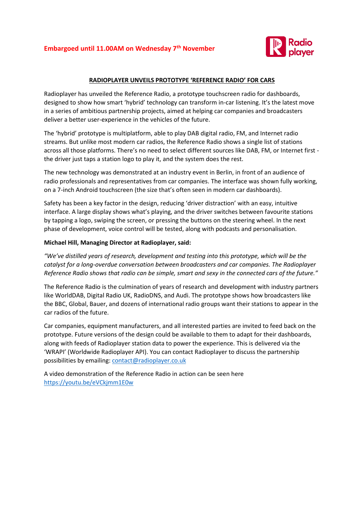

## **RADIOPLAYER UNVEILS PROTOTYPE 'REFERENCE RADIO' FOR CARS**

Radioplayer has unveiled the Reference Radio, a prototype touchscreen radio for dashboards, designed to show how smart 'hybrid' technology can transform in-car listening. It's the latest move in a series of ambitious partnership projects, aimed at helping car companies and broadcasters deliver a better user-experience in the vehicles of the future.

The 'hybrid' prototype is multiplatform, able to play DAB digital radio, FM, and Internet radio streams. But unlike most modern car radios, the Reference Radio shows a single list of stations across all those platforms. There's no need to select different sources like DAB, FM, or Internet first the driver just taps a station logo to play it, and the system does the rest.

The new technology was demonstrated at an industry event in Berlin, in front of an audience of radio professionals and representatives from car companies. The interface was shown fully working, on a 7-inch Android touchscreen (the size that's often seen in modern car dashboards).

Safety has been a key factor in the design, reducing 'driver distraction' with an easy, intuitive interface. A large display shows what's playing, and the driver switches between favourite stations by tapping a logo, swiping the screen, or pressing the buttons on the steering wheel. In the next phase of development, voice control will be tested, along with podcasts and personalisation.

## **Michael Hill, Managing Director at Radioplayer, said:**

*"We've distilled years of research, development and testing into this prototype, which will be the catalyst for a long-overdue conversation between broadcasters and car companies. The Radioplayer Reference Radio shows that radio can be simple, smart and sexy in the connected cars of the future."*

The Reference Radio is the culmination of years of research and development with industry partners like WorldDAB, Digital Radio UK, RadioDNS, and Audi. The prototype shows how broadcasters like the BBC, Global, Bauer, and dozens of international radio groups want their stations to appear in the car radios of the future.

Car companies, equipment manufacturers, and all interested parties are invited to feed back on the prototype. Future versions of the design could be available to them to adapt for their dashboards, along with feeds of Radioplayer station data to power the experience. This is delivered via the 'WRAPI' (Worldwide Radioplayer API). You can contact Radioplayer to discuss the partnership possibilities by emailing: [contact@radioplayer.co.uk](mailto:contact@radioplayer.co.uk)

A video demonstration of the Reference Radio in action can be seen here <https://youtu.be/eVCkjmm1E0w>